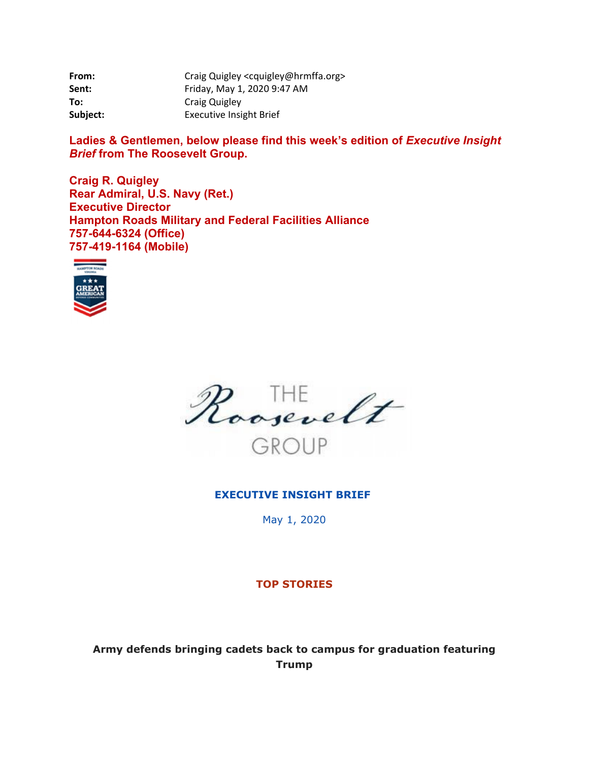| From:    | Craig Quigley <cquigley@hrmffa.org></cquigley@hrmffa.org> |
|----------|-----------------------------------------------------------|
| Sent:    | Friday, May 1, 2020 9:47 AM                               |
| To:      | Craig Quigley                                             |
| Subject: | <b>Executive Insight Brief</b>                            |

Ladies & Gentlemen, below please find this week's edition of *Executive Insight Brief* **from The Roosevelt Group.** 

**Craig R. Quigley Rear Admiral, U.S. Navy (Ret.) Executive Director Hampton Roads Military and Federal Facilities Alliance 757-644-6324 (Office) 757-419-1164 (Mobile)** 





#### **EXECUTIVE INSIGHT BRIEF**

May 1, 2020

#### **TOP STORIES**

**Army defends bringing cadets back to campus for graduation featuring Trump**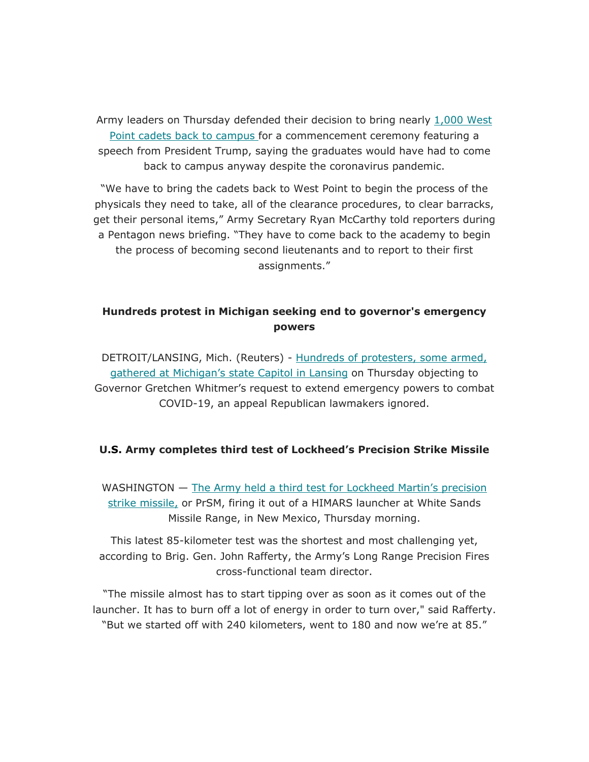Army leaders on Thursday defended their decision to bring nearly 1,000 West Point cadets back to campus for a commencement ceremony featuring a speech from President Trump, saying the graduates would have had to come back to campus anyway despite the coronavirus pandemic.

"We have to bring the cadets back to West Point to begin the process of the physicals they need to take, all of the clearance procedures, to clear barracks, get their personal items," Army Secretary Ryan McCarthy told reporters during a Pentagon news briefing. "They have to come back to the academy to begin the process of becoming second lieutenants and to report to their first assignments."

## **Hundreds protest in Michigan seeking end to governor's emergency powers**

DETROIT/LANSING, Mich. (Reuters) - Hundreds of protesters, some armed, gathered at Michigan's state Capitol in Lansing on Thursday objecting to Governor Gretchen Whitmer's request to extend emergency powers to combat COVID-19, an appeal Republican lawmakers ignored.

#### **U.S. Army completes third test of Lockheed's Precision Strike Missile**

WASHINGTON — The Army held a third test for Lockheed Martin's precision strike missile, or PrSM, firing it out of a HIMARS launcher at White Sands Missile Range, in New Mexico, Thursday morning.

This latest 85-kilometer test was the shortest and most challenging yet, according to Brig. Gen. John Rafferty, the Army's Long Range Precision Fires cross-functional team director.

"The missile almost has to start tipping over as soon as it comes out of the launcher. It has to burn off a lot of energy in order to turn over," said Rafferty. "But we started off with 240 kilometers, went to 180 and now we're at 85."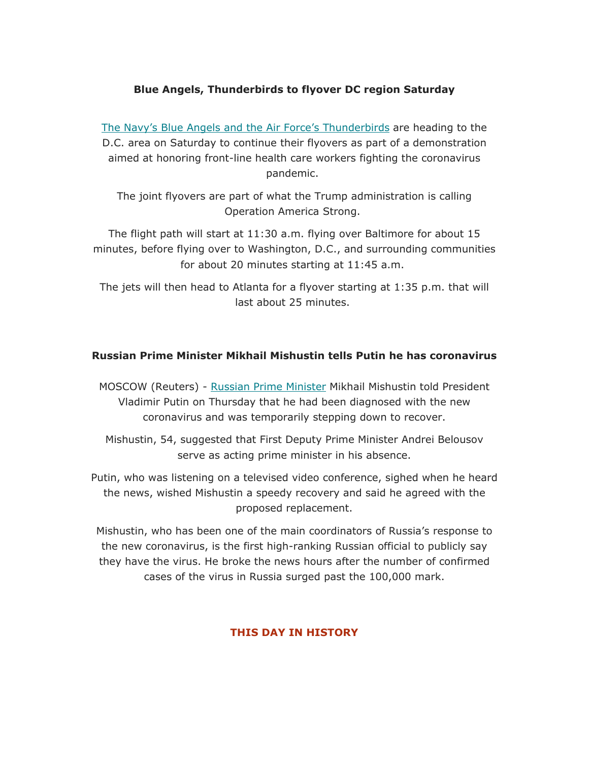## **Blue Angels, Thunderbirds to flyover DC region Saturday**

The Navy's Blue Angels and the Air Force's Thunderbirds are heading to the D.C. area on Saturday to continue their flyovers as part of a demonstration aimed at honoring front-line health care workers fighting the coronavirus pandemic.

The joint flyovers are part of what the Trump administration is calling Operation America Strong.

The flight path will start at 11:30 a.m. flying over Baltimore for about 15 minutes, before flying over to Washington, D.C., and surrounding communities for about 20 minutes starting at 11:45 a.m.

The jets will then head to Atlanta for a flyover starting at 1:35 p.m. that will last about 25 minutes.

### **Russian Prime Minister Mikhail Mishustin tells Putin he has coronavirus**

MOSCOW (Reuters) - Russian Prime Minister Mikhail Mishustin told President Vladimir Putin on Thursday that he had been diagnosed with the new coronavirus and was temporarily stepping down to recover.

Mishustin, 54, suggested that First Deputy Prime Minister Andrei Belousov serve as acting prime minister in his absence.

Putin, who was listening on a televised video conference, sighed when he heard the news, wished Mishustin a speedy recovery and said he agreed with the proposed replacement.

Mishustin, who has been one of the main coordinators of Russia's response to the new coronavirus, is the first high-ranking Russian official to publicly say they have the virus. He broke the news hours after the number of confirmed cases of the virus in Russia surged past the 100,000 mark.

## **THIS DAY IN HISTORY**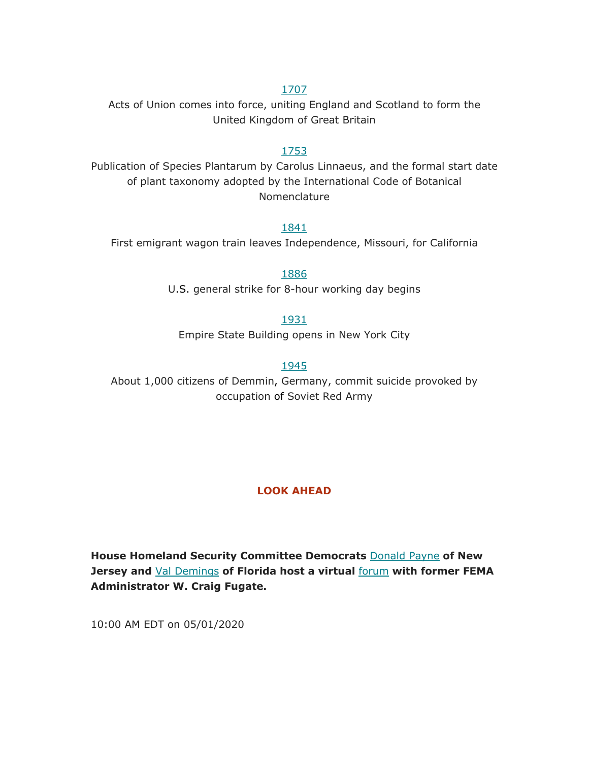### 1707

Acts of Union comes into force, uniting England and Scotland to form the United Kingdom of Great Britain

#### 1753

Publication of Species Plantarum by Carolus Linnaeus, and the formal start date of plant taxonomy adopted by the International Code of Botanical Nomenclature

1841

First emigrant wagon train leaves Independence, Missouri, for California

1886 U.S. general strike for 8-hour working day begins

1931

Empire State Building opens in New York City

1945

About 1,000 citizens of Demmin, Germany, commit suicide provoked by occupation of Soviet Red Army

#### **LOOK AHEAD**

**House Homeland Security Committee Democrats** Donald Payne **of New Jersey and** Val Demings **of Florida host a virtual** forum **with former FEMA Administrator W. Craig Fugate.**

10:00 AM EDT on 05/01/2020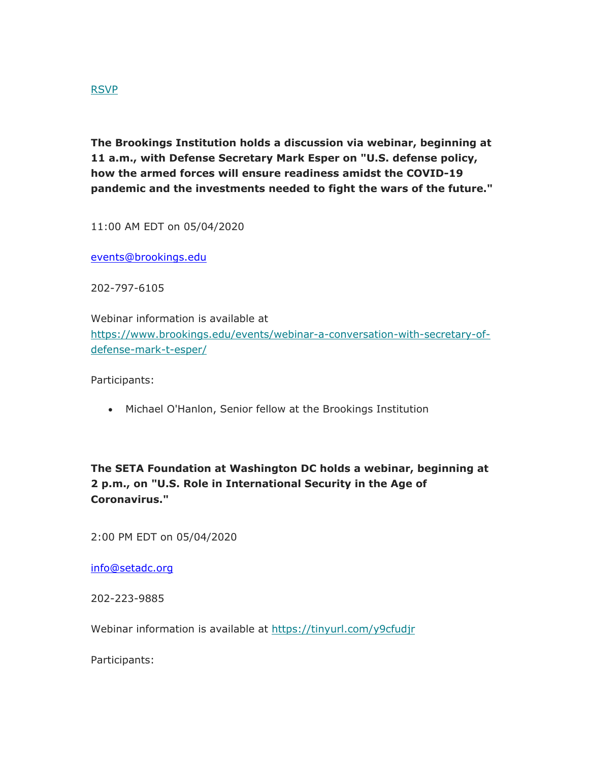### RSVP

**The Brookings Institution holds a discussion via webinar, beginning at 11 a.m., with Defense Secretary Mark Esper on "U.S. defense policy, how the armed forces will ensure readiness amidst the COVID-19 pandemic and the investments needed to fight the wars of the future."**

11:00 AM EDT on 05/04/2020

events@brookings.edu

202-797-6105

Webinar information is available at https://www.brookings.edu/events/webinar-a-conversation-with-secretary-ofdefense-mark-t-esper/

Participants:

• Michael O'Hanlon, Senior fellow at the Brookings Institution

**The SETA Foundation at Washington DC holds a webinar, beginning at 2 p.m., on "U.S. Role in International Security in the Age of Coronavirus."**

2:00 PM EDT on 05/04/2020

info@setadc.org

202-223-9885

Webinar information is available at https://tinyurl.com/y9cfudir

Participants: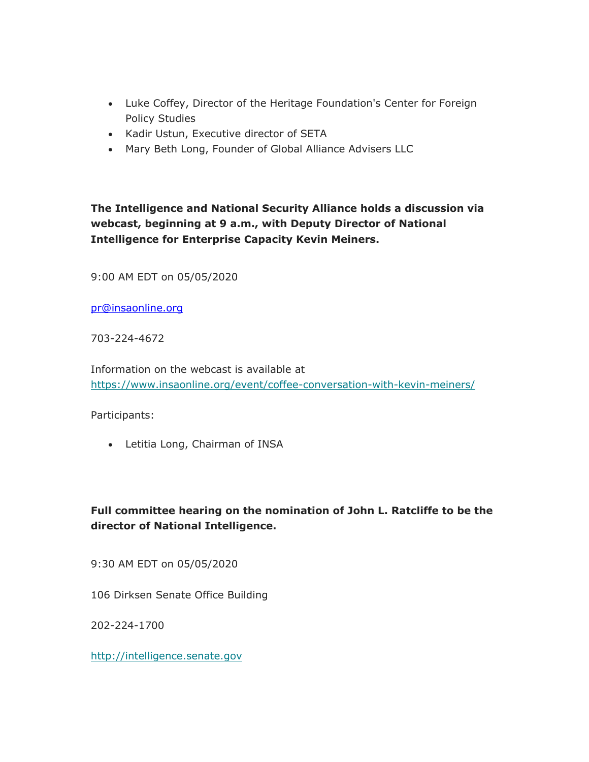- Luke Coffey, Director of the Heritage Foundation's Center for Foreign Policy Studies
- Kadir Ustun, Executive director of SETA
- Mary Beth Long, Founder of Global Alliance Advisers LLC

**The Intelligence and National Security Alliance holds a discussion via webcast, beginning at 9 a.m., with Deputy Director of National Intelligence for Enterprise Capacity Kevin Meiners.**

9:00 AM EDT on 05/05/2020

pr@insaonline.org

703-224-4672

Information on the webcast is available at https://www.insaonline.org/event/coffee-conversation-with-kevin-meiners/

Participants:

Letitia Long, Chairman of INSA

## **Full committee hearing on the nomination of John L. Ratcliffe to be the director of National Intelligence.**

9:30 AM EDT on 05/05/2020

106 Dirksen Senate Office Building

202-224-1700

http://intelligence.senate.gov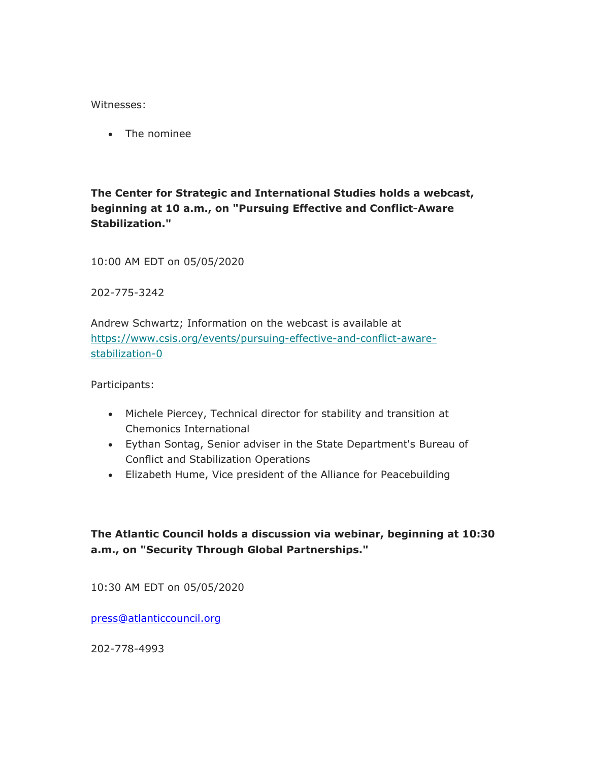#### Witnesses:

• The nominee

## **The Center for Strategic and International Studies holds a webcast, beginning at 10 a.m., on "Pursuing Effective and Conflict-Aware Stabilization."**

10:00 AM EDT on 05/05/2020

202-775-3242

Andrew Schwartz; Information on the webcast is available at https://www.csis.org/events/pursuing-effective-and-conflict-awarestabilization-0

Participants:

- Michele Piercey, Technical director for stability and transition at Chemonics International
- Eythan Sontag, Senior adviser in the State Department's Bureau of Conflict and Stabilization Operations
- Elizabeth Hume, Vice president of the Alliance for Peacebuilding

## **The Atlantic Council holds a discussion via webinar, beginning at 10:30 a.m., on "Security Through Global Partnerships."**

10:30 AM EDT on 05/05/2020

press@atlanticcouncil.org

202-778-4993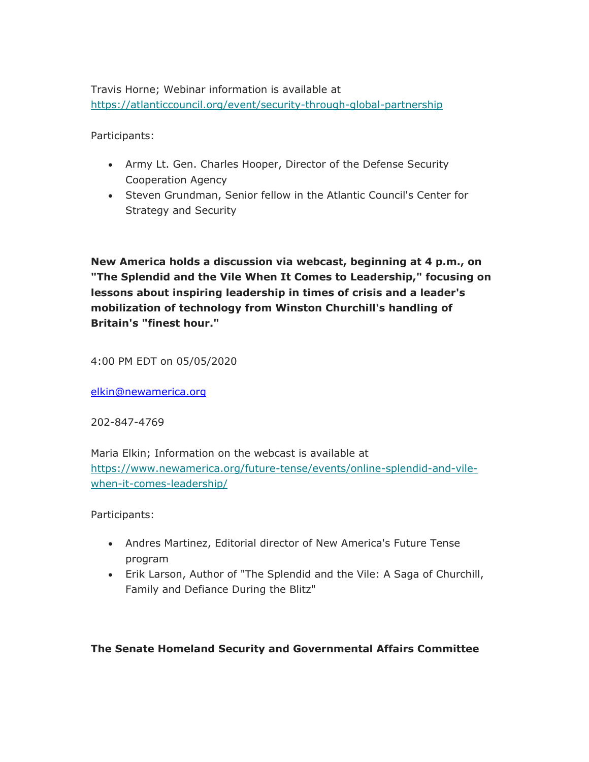Travis Horne; Webinar information is available at https://atlanticcouncil.org/event/security-through-global-partnership

Participants:

- Army Lt. Gen. Charles Hooper, Director of the Defense Security Cooperation Agency
- Steven Grundman, Senior fellow in the Atlantic Council's Center for Strategy and Security

**New America holds a discussion via webcast, beginning at 4 p.m., on "The Splendid and the Vile When It Comes to Leadership," focusing on lessons about inspiring leadership in times of crisis and a leader's mobilization of technology from Winston Churchill's handling of Britain's "finest hour."**

4:00 PM EDT on 05/05/2020

elkin@newamerica.org

202-847-4769

Maria Elkin; Information on the webcast is available at https://www.newamerica.org/future-tense/events/online-splendid-and-vilewhen-it-comes-leadership/

Participants:

- Andres Martinez, Editorial director of New America's Future Tense program
- Erik Larson, Author of "The Splendid and the Vile: A Saga of Churchill, Family and Defiance During the Blitz"

**The Senate Homeland Security and Governmental Affairs Committee**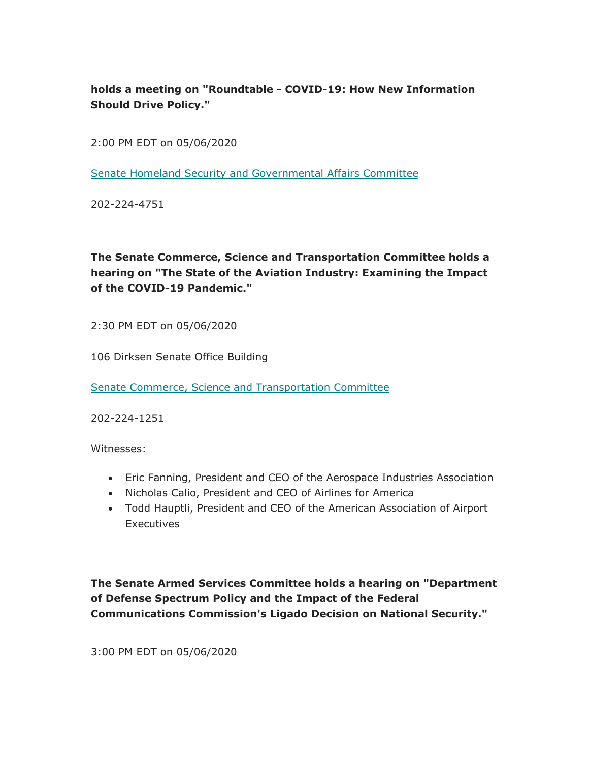**holds a meeting on "Roundtable - COVID-19: How New Information Should Drive Policy."**

2:00 PM EDT on 05/06/2020

Senate Homeland Security and Governmental Affairs Committee

202-224-4751

# **The Senate Commerce, Science and Transportation Committee holds a hearing on "The State of the Aviation Industry: Examining the Impact of the COVID-19 Pandemic."**

2:30 PM EDT on 05/06/2020

106 Dirksen Senate Office Building

Senate Commerce, Science and Transportation Committee

202-224-1251

Witnesses:

- Eric Fanning, President and CEO of the Aerospace Industries Association
- Nicholas Calio, President and CEO of Airlines for America
- Todd Hauptli, President and CEO of the American Association of Airport **Executives**

**The Senate Armed Services Committee holds a hearing on "Department of Defense Spectrum Policy and the Impact of the Federal Communications Commission's Ligado Decision on National Security."**

3:00 PM EDT on 05/06/2020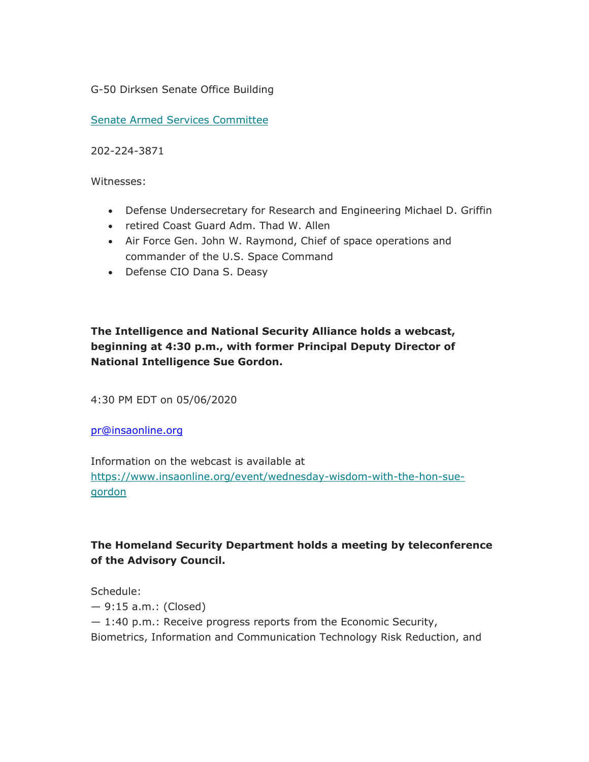G-50 Dirksen Senate Office Building

Senate Armed Services Committee

202-224-3871

Witnesses:

- Defense Undersecretary for Research and Engineering Michael D. Griffin
- retired Coast Guard Adm. Thad W. Allen
- Air Force Gen. John W. Raymond, Chief of space operations and commander of the U.S. Space Command
- Defense CIO Dana S. Deasy

# **The Intelligence and National Security Alliance holds a webcast, beginning at 4:30 p.m., with former Principal Deputy Director of National Intelligence Sue Gordon.**

4:30 PM EDT on 05/06/2020

pr@insaonline.org

Information on the webcast is available at https://www.insaonline.org/event/wednesday-wisdom-with-the-hon-suegordon

# **The Homeland Security Department holds a meeting by teleconference of the Advisory Council.**

Schedule: — 9:15 a.m.: (Closed) — 1:40 p.m.: Receive progress reports from the Economic Security, Biometrics, Information and Communication Technology Risk Reduction, and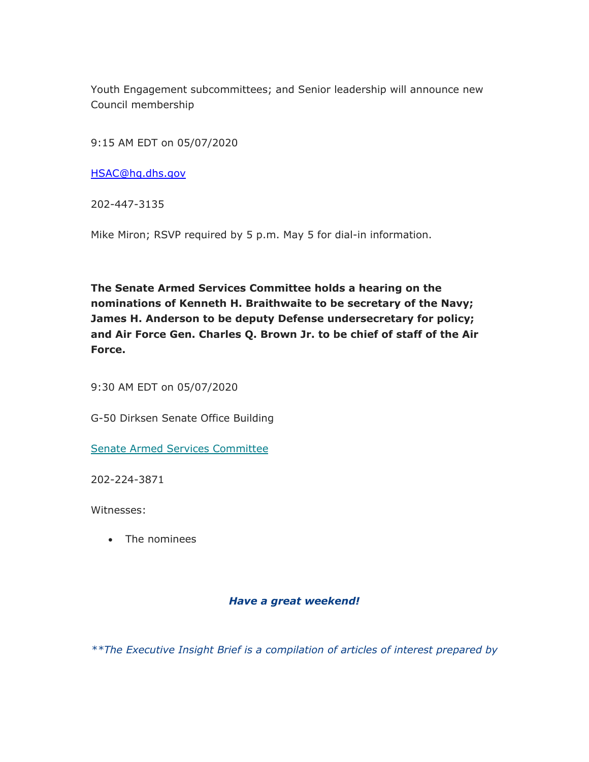Youth Engagement subcommittees; and Senior leadership will announce new Council membership

9:15 AM EDT on 05/07/2020

HSAC@hq.dhs.gov

202-447-3135

Mike Miron; RSVP required by 5 p.m. May 5 for dial-in information.

**The Senate Armed Services Committee holds a hearing on the nominations of Kenneth H. Braithwaite to be secretary of the Navy; James H. Anderson to be deputy Defense undersecretary for policy; and Air Force Gen. Charles Q. Brown Jr. to be chief of staff of the Air Force.**

9:30 AM EDT on 05/07/2020

G-50 Dirksen Senate Office Building

Senate Armed Services Committee

202-224-3871

Witnesses:

• The nominees

## *Have a great weekend!*

*\*\*The Executive Insight Brief is a compilation of articles of interest prepared by*